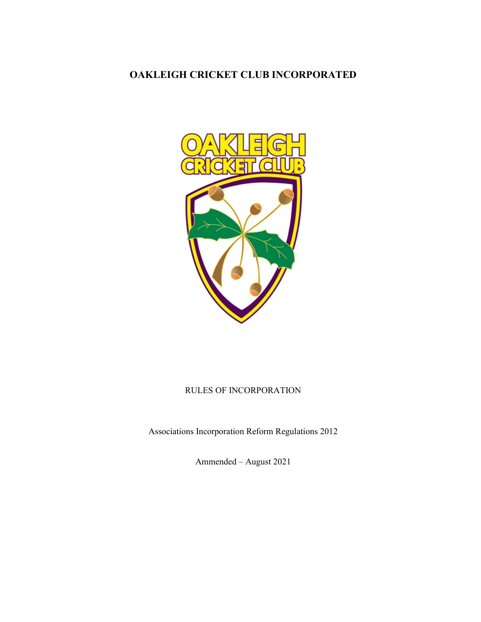# OAKLEIGH CRICKET CLUB INCORPORATED



# RULES OF INCORPORATION

Associations Incorporation Reform Regulations 2012

Ammended – August 2021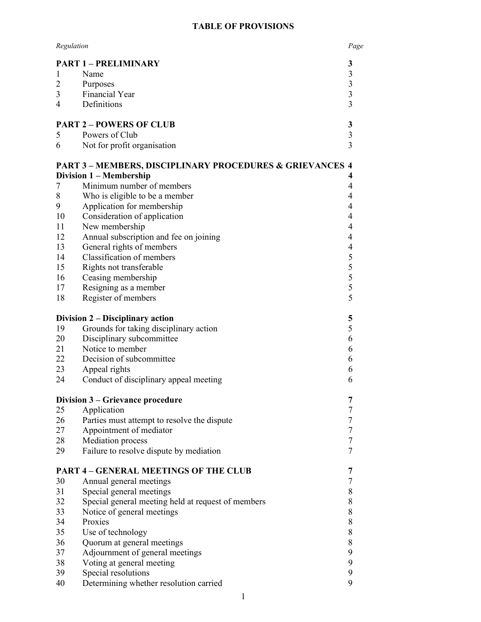# TABLE OF PROVISIONS

| Regulation<br>Page |                                                                                                     |                          |
|--------------------|-----------------------------------------------------------------------------------------------------|--------------------------|
|                    | <b>PART 1 - PRELIMINARY</b>                                                                         | 3                        |
| 1                  | Name                                                                                                | 3                        |
| $\overline{2}$     | Purposes                                                                                            | $\overline{\mathbf{3}}$  |
| 3                  | Financial Year                                                                                      | $\overline{\mathbf{3}}$  |
| 4                  | Definitions                                                                                         | $\overline{3}$           |
|                    | <b>PART 2 - POWERS OF CLUB</b>                                                                      | 3                        |
| 5                  | Powers of Club                                                                                      | $\overline{\mathbf{3}}$  |
| 6                  | Not for profit organisation                                                                         | $\overline{3}$           |
|                    | <b>PART 3-MEMBERS, DISCIPLINARY PROCEDURES &amp; GRIEVANCES 4</b><br><b>Division 1 - Membership</b> | 4                        |
| 7                  | Minimum number of members                                                                           | 4                        |
| $8\,$              | Who is eligible to be a member                                                                      | 4                        |
| 9                  | Application for membership                                                                          | $\overline{4}$           |
| 10                 | Consideration of application                                                                        | 4                        |
| 11                 | New membership                                                                                      | $\overline{4}$           |
| 12                 | Annual subscription and fee on joining                                                              | $\overline{4}$           |
| 13                 | General rights of members                                                                           | $\overline{\mathcal{A}}$ |
| 14                 | Classification of members                                                                           | 5                        |
| 15                 | Rights not transferable                                                                             | 5                        |
| 16                 | Ceasing membership                                                                                  | 5                        |
| 17                 | Resigning as a member                                                                               | 5                        |
| 18                 | Register of members                                                                                 | 5                        |
|                    |                                                                                                     |                          |
|                    | Division 2 – Disciplinary action                                                                    | 5                        |
| 19                 | Grounds for taking disciplinary action                                                              | 5                        |
| 20                 | Disciplinary subcommittee                                                                           | 6                        |
| 21                 | Notice to member                                                                                    | 6                        |
| 22                 | Decision of subcommittee                                                                            | 6                        |
| 23                 | Appeal rights                                                                                       | 6                        |
| 24                 | Conduct of disciplinary appeal meeting                                                              | 6                        |
|                    | Division 3 – Grievance procedure                                                                    | 7                        |
| 25                 | Application                                                                                         | 7                        |
| 26                 | Parties must attempt to resolve the dispute                                                         | 7                        |
| 27                 | Appointment of mediator                                                                             | $\boldsymbol{7}$         |
| 28                 | Mediation process                                                                                   | $\tau$                   |
| 29                 | Failure to resolve dispute by mediation                                                             | $\overline{7}$           |
|                    | <b>PART 4 - GENERAL MEETINGS OF THE CLUB</b>                                                        | 7                        |
| 30                 | Annual general meetings                                                                             | 7                        |
| 31                 | Special general meetings                                                                            | 8                        |
| 32                 | Special general meeting held at request of members                                                  | 8                        |
| 33                 | Notice of general meetings                                                                          | 8                        |
| 34                 | Proxies                                                                                             | 8                        |
| 35                 | Use of technology                                                                                   | $8\,$                    |
| 36                 | Quorum at general meetings                                                                          | $8\,$                    |
| 37                 | Adjournment of general meetings                                                                     | 9                        |
| 38                 | Voting at general meeting                                                                           | 9                        |
| 39                 | Special resolutions                                                                                 | 9                        |
| 40                 | Determining whether resolution carried                                                              | 9                        |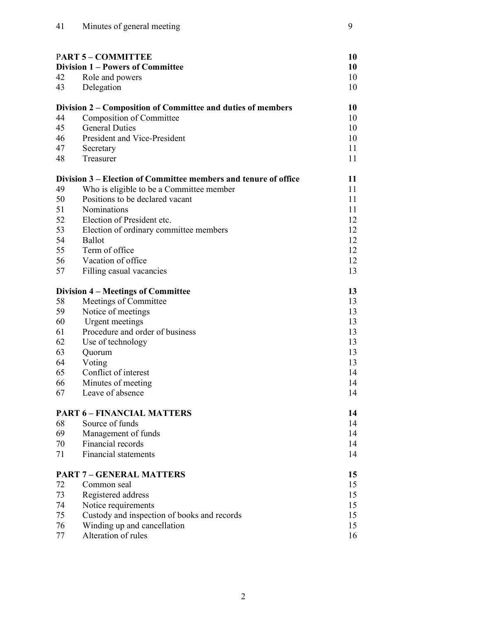| <b>PART 5 - COMMITTEE</b> |                                                                 | 10 |
|---------------------------|-----------------------------------------------------------------|----|
|                           | <b>Division 1 – Powers of Committee</b>                         | 10 |
| 42                        | Role and powers                                                 | 10 |
| 43                        | Delegation                                                      | 10 |
|                           | Division 2 – Composition of Committee and duties of members     | 10 |
| 44                        | Composition of Committee                                        | 10 |
| 45                        | <b>General Duties</b>                                           | 10 |
| 46                        | President and Vice-President                                    | 10 |
| 47                        | Secretary                                                       | 11 |
| 48                        | Treasurer                                                       | 11 |
|                           | Division 3 – Election of Committee members and tenure of office | 11 |
| 49                        | Who is eligible to be a Committee member                        | 11 |
| 50                        | Positions to be declared vacant                                 | 11 |
| 51                        | <b>Nominations</b>                                              | 11 |
| 52                        | Election of President etc.                                      | 12 |
| 53                        | Election of ordinary committee members                          | 12 |
| 54                        | Ballot                                                          | 12 |
| 55                        | Term of office                                                  | 12 |
| 56                        | Vacation of office                                              | 12 |
| 57                        | Filling casual vacancies                                        | 13 |
|                           | Division 4 – Meetings of Committee                              | 13 |
| 58                        | Meetings of Committee                                           | 13 |
| 59                        | Notice of meetings                                              | 13 |
| 60                        | Urgent meetings                                                 | 13 |
| 61                        | Procedure and order of business                                 | 13 |
| 62                        | Use of technology                                               | 13 |
| 63                        | Quorum                                                          | 13 |
| 64                        | Voting                                                          | 13 |
| 65                        | Conflict of interest                                            | 14 |
| 66                        | Minutes of meeting                                              | 14 |
| 67                        | Leave of absence                                                | 14 |
|                           | <b>PART 6 - FINANCIAL MATTERS</b>                               | 14 |
| 68                        | Source of funds                                                 | 14 |
| 69                        | Management of funds                                             | 14 |
| 70                        | Financial records                                               | 14 |
| 71                        | <b>Financial statements</b>                                     | 14 |
|                           | <b>PART 7 - GENERAL MATTERS</b>                                 | 15 |
| 72                        | Common seal                                                     | 15 |
| 73                        | Registered address                                              | 15 |
| 74                        | Notice requirements                                             | 15 |
| 75                        | Custody and inspection of books and records                     | 15 |
| 76                        | Winding up and cancellation                                     | 15 |
| 77                        | Alteration of rules                                             | 16 |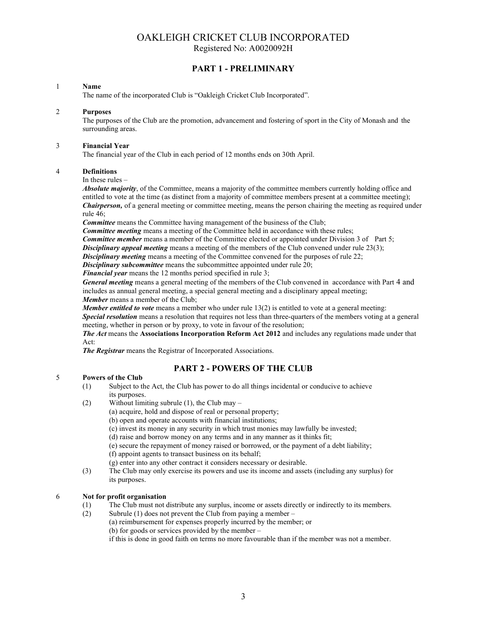# OAKLEIGH CRICKET CLUB INCORPORATED

Registered No: A0020092H

# PART 1 - PRELIMINARY

#### 1 Name

The name of the incorporated Club is "Oakleigh Cricket Club Incorporated".

#### 2 Purposes

 The purposes of the Club are the promotion, advancement and fostering of sport in the City of Monash and the surrounding areas.

#### 3 Financial Year

The financial year of the Club in each period of 12 months ends on 30th April.

#### 4 Definitions

In these rules –

Absolute majority, of the Committee, means a majority of the committee members currently holding office and entitled to vote at the time (as distinct from a majority of committee members present at a committee meeting); **Chairperson,** of a general meeting or committee meeting, means the person chairing the meeting as required under rule 46;

Committee means the Committee having management of the business of the Club;

**Committee meeting** means a meeting of the Committee held in accordance with these rules;

**Committee member** means a member of the Committee elected or appointed under Division 3 of Part 5;

**Disciplinary appeal meeting** means a meeting of the members of the Club convened under rule  $23(3)$ ;

**Disciplinary meeting** means a meeting of the Committee convened for the purposes of rule 22;

Disciplinary subcommittee means the subcommittee appointed under rule 20;

Financial year means the 12 months period specified in rule 3;

General meeting means a general meeting of the members of the Club convened in accordance with Part 4 and includes as annual general meeting, a special general meeting and a disciplinary appeal meeting; Member means a member of the Club;

**Member entitled to vote** means a member who under rule  $13(2)$  is entitled to vote at a general meeting:

Special resolution means a resolution that requires not less than three-quarters of the members voting at a general meeting, whether in person or by proxy, to vote in favour of the resolution;

The Act means the Associations Incorporation Reform Act 2012 and includes any regulations made under that Act:

The Registrar means the Registrar of Incorporated Associations.

# PART 2 - POWERS OF THE CLUB

## 5 Powers of the Club

- (1) Subject to the Act, the Club has power to do all things incidental or conducive to achieve its purposes.
- (2) Without limiting subrule (1), the Club may
	- (a) acquire, hold and dispose of real or personal property;
		- (b) open and operate accounts with financial institutions;
		- (c) invest its money in any security in which trust monies may lawfully be invested;
		- (d) raise and borrow money on any terms and in any manner as it thinks fit;
		- (e) secure the repayment of money raised or borrowed, or the payment of a debt liability;

(f) appoint agents to transact business on its behalf;

- (g) enter into any other contract it considers necessary or desirable.
- (3) The Club may only exercise its powers and use its income and assets (including any surplus) for its purposes.

#### 6 Not for profit organisation

- (1) The Club must not distribute any surplus, income or assets directly or indirectly to its members.
- (2) Subrule (1) does not prevent the Club from paying a member –

(a) reimbursement for expenses properly incurred by the member; or

(b) for goods or services provided by the member –

if this is done in good faith on terms no more favourable than if the member was not a member.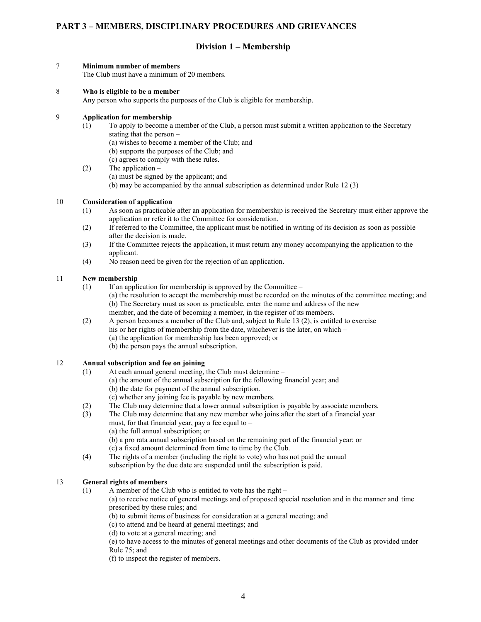# PART 3 – MEMBERS, DISCIPLINARY PROCEDURES AND GRIEVANCES

# Division 1 – Membership

#### 7 Minimum number of members

The Club must have a minimum of 20 members.

#### 8 Who is eligible to be a member

Any person who supports the purposes of the Club is eligible for membership.

# 9 Application for membership

- $(1)$  To apply to become a member of the Club, a person must submit a written application to the Secretary stating that the person –
	- (a) wishes to become a member of the Club; and
	- (b) supports the purposes of the Club; and
	- (c) agrees to comply with these rules.

(2) The application –

- (a) must be signed by the applicant; and
- (b) may be accompanied by the annual subscription as determined under Rule 12 (3)

#### 10 Consideration of application

- (1) As soon as practicable after an application for membership is received the Secretary must either approve the application or refer it to the Committee for consideration.
- (2) If referred to the Committee, the applicant must be notified in writing of its decision as soon as possible after the decision is made.
- (3) If the Committee rejects the application, it must return any money accompanying the application to the applicant.
- (4) No reason need be given for the rejection of an application.

#### 11 New membership

- $(1)$  If an application for membership is approved by the Committee
	- (a) the resolution to accept the membership must be recorded on the minutes of the committee meeting; and (b) The Secretary must as soon as practicable, enter the name and address of the new
	- member, and the date of becoming a member, in the register of its members.
- (2) A person becomes a member of the Club and, subject to Rule 13 (2), is entitled to exercise his or her rights of membership from the date, whichever is the later, on which –
	- (a) the application for membership has been approved; or
	- (b) the person pays the annual subscription.

# 12 Annual subscription and fee on joining

- (1) At each annual general meeting, the Club must determine
	- (a) the amount of the annual subscription for the following financial year; and
		- (b) the date for payment of the annual subscription.
		- (c) whether any joining fee is payable by new members.
- (2) The Club may determine that a lower annual subscription is payable by associate members.
- (3) The Club may determine that any new member who joins after the start of a financial year must, for that financial year, pay a fee equal to  $-$ 
	- (a) the full annual subscription; or
	-
	- (b) a pro rata annual subscription based on the remaining part of the financial year; or
	- (c) a fixed amount determined from time to time by the Club.
- (4) The rights of a member (including the right to vote) who has not paid the annual subscription by the due date are suspended until the subscription is paid.

## 13 General rights of members

- (1) A member of the Club who is entitled to vote has the right  $-$ 
	- (a) to receive notice of general meetings and of proposed special resolution and in the manner and time prescribed by these rules; and
	- (b) to submit items of business for consideration at a general meeting; and
		- (c) to attend and be heard at general meetings; and
		- (d) to vote at a general meeting; and

 (e) to have access to the minutes of general meetings and other documents of the Club as provided under Rule 75; and

(f) to inspect the register of members.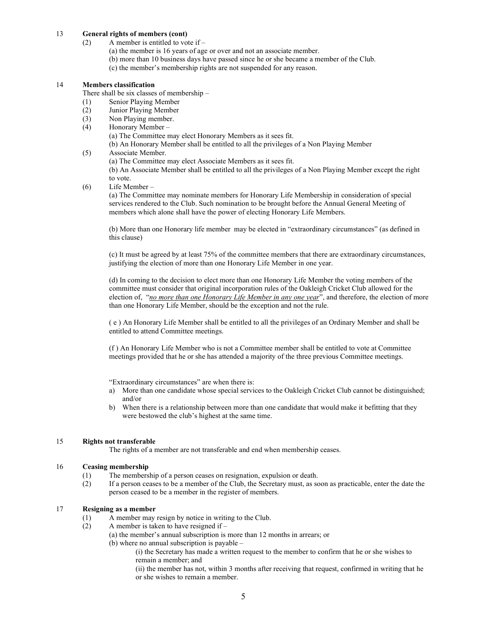#### 13 General rights of members (cont)

- (2) A member is entitled to vote if  $-$ 
	- (a) the member is 16 years of age or over and not an associate member.
	- (b) more than 10 business days have passed since he or she became a member of the Club.
		- (c) the member's membership rights are not suspended for any reason.

#### 14 Members classification

There shall be six classes of membership –

- (1) Senior Playing Member
- (2) Junior Playing Member
- (3) Non Playing member.<br>
(4) Honorary Member –
- Honorary Member –

 (a) The Committee may elect Honorary Members as it sees fit. (b) An Honorary Member shall be entitled to all the privileges of a Non Playing Member

- (5) Associate Member.
	- (a) The Committee may elect Associate Members as it sees fit.

 (b) An Associate Member shall be entitled to all the privileges of a Non Playing Member except the right to vote.

(6) Life Member –

(a) The Committee may nominate members for Honorary Life Membership in consideration of special services rendered to the Club. Such nomination to be brought before the Annual General Meeting of members which alone shall have the power of electing Honorary Life Members.

(b) More than one Honorary life member may be elected in "extraordinary circumstances" (as defined in this clause)

(c) It must be agreed by at least 75% of the committee members that there are extraordinary circumstances, justifying the election of more than one Honorary Life Member in one year.

(d) In coming to the decision to elect more than one Honorary Life Member the voting members of the committee must consider that original incorporation rules of the Oakleigh Cricket Club allowed for the election of, "no more than one Honorary Life Member in any one year", and therefore, the election of more than one Honorary Life Member, should be the exception and not the rule.

( e ) An Honorary Life Member shall be entitled to all the privileges of an Ordinary Member and shall be entitled to attend Committee meetings.

(f ) An Honorary Life Member who is not a Committee member shall be entitled to vote at Committee meetings provided that he or she has attended a majority of the three previous Committee meetings.

"Extraordinary circumstances" are when there is:

- a) More than one candidate whose special services to the Oakleigh Cricket Club cannot be distinguished; and/or
- b) When there is a relationship between more than one candidate that would make it befitting that they were bestowed the club's highest at the same time.

#### 15 Rights not transferable

The rights of a member are not transferable and end when membership ceases.

#### 16 Ceasing membership

- (1) The membership of a person ceases on resignation, expulsion or death.
- (2) If a person ceases to be a member of the Club, the Secretary must, as soon as practicable, enter the date the person ceased to be a member in the register of members.

# 17 Resigning as a member

- (1) A member may resign by notice in writing to the Club.
- (2) A member is taken to have resigned if
	- (a) the member's annual subscription is more than 12 months in arrears; or (b) where no annual subscription is payable –
		- (i) the Secretary has made a written request to the member to confirm that he or she wishes to remain a member; and
		- (ii) the member has not, within 3 months after receiving that request, confirmed in writing that he or she wishes to remain a member.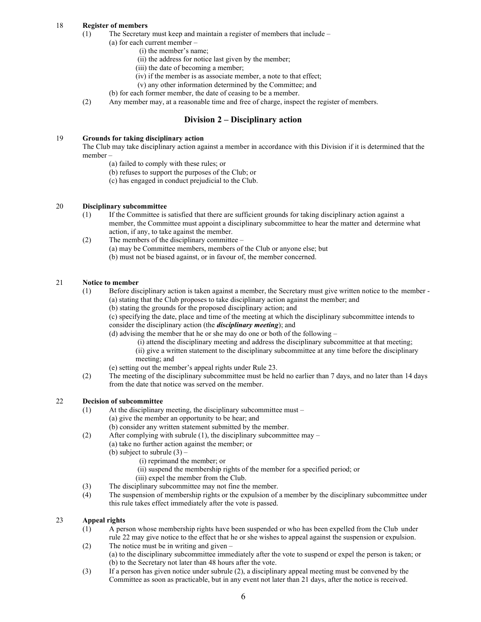# 18 Register of members

- (1) The Secretary must keep and maintain a register of members that include
	- (a) for each current member
		- (i) the member's name;
		- (ii) the address for notice last given by the member;
		- (iii) the date of becoming a member;
		- (iv) if the member is as associate member, a note to that effect;
		- (v) any other information determined by the Committee; and
		- (b) for each former member, the date of ceasing to be a member.
- (2) Any member may, at a reasonable time and free of charge, inspect the register of members.

# Division 2 – Disciplinary action

# 19 Grounds for taking disciplinary action

 The Club may take disciplinary action against a member in accordance with this Division if it is determined that the member –

- (a) failed to comply with these rules; or
- (b) refuses to support the purposes of the Club; or
- (c) has engaged in conduct prejudicial to the Club.

#### 20 Disciplinary subcommittee

- (1) If the Committee is satisfied that there are sufficient grounds for taking disciplinary action against a member, the Committee must appoint a disciplinary subcommittee to hear the matter and determine what action, if any, to take against the member.
- (2) The members of the disciplinary committee (a) may be Committee members, members of the Club or anyone else; but (b) must not be biased against, or in favour of, the member concerned.

#### 21 Notice to member

- (1) Before disciplinary action is taken against a member, the Secretary must give written notice to the member (a) stating that the Club proposes to take disciplinary action against the member; and
	- (b) stating the grounds for the proposed disciplinary action; and
	- (c) specifying the date, place and time of the meeting at which the disciplinary subcommittee intends to consider the disciplinary action (the *disciplinary meeting*); and
	- (d) advising the member that he or she may do one or both of the following
		- (i) attend the disciplinary meeting and address the disciplinary subcommittee at that meeting; (ii) give a written statement to the disciplinary subcommittee at any time before the disciplinary meeting; and
	- (e) setting out the member's appeal rights under Rule 23.
- (2) The meeting of the disciplinary subcommittee must be held no earlier than 7 days, and no later than 14 days from the date that notice was served on the member.

# 22 Decision of subcommittee

- (1) At the disciplinary meeting, the disciplinary subcommittee must
	- (a) give the member an opportunity to be hear; and
	- (b) consider any written statement submitted by the member.
- (2) After complying with subrule (1), the disciplinary subcommittee may
	- (a) take no further action against the member; or
		- (b) subject to subrule (3)
			- (i) reprimand the member; or
			- (ii) suspend the membership rights of the member for a specified period; or
			- (iii) expel the member from the Club.
- (3) The disciplinary subcommittee may not fine the member.
- (4) The suspension of membership rights or the expulsion of a member by the disciplinary subcommittee under this rule takes effect immediately after the vote is passed.

## 23 Appeal rights

- (1) A person whose membership rights have been suspended or who has been expelled from the Club under rule 22 may give notice to the effect that he or she wishes to appeal against the suspension or expulsion.
- (2) The notice must be in writing and given (a) to the disciplinary subcommittee immediately after the vote to suspend or expel the person is taken; or (b) to the Secretary not later than 48 hours after the vote.
- (3) If a person has given notice under subrule (2), a disciplinary appeal meeting must be convened by the Committee as soon as practicable, but in any event not later than 21 days, after the notice is received.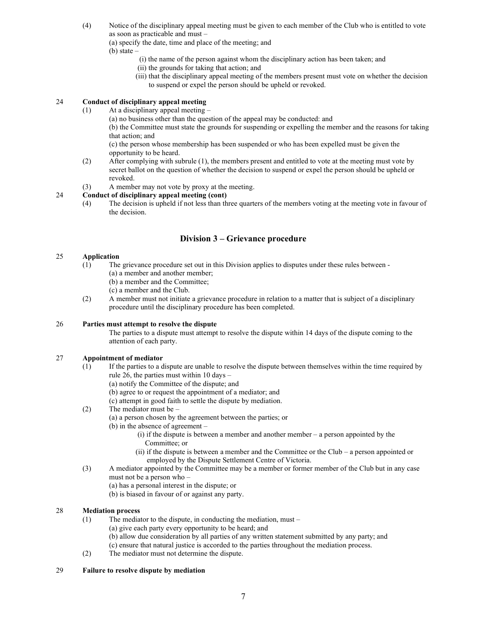(4) Notice of the disciplinary appeal meeting must be given to each member of the Club who is entitled to vote as soon as practicable and must –

(a) specify the date, time and place of the meeting; and

 $(b)$  state  $-$ 

- (i) the name of the person against whom the disciplinary action has been taken; and
- (ii) the grounds for taking that action; and
- (iii) that the disciplinary appeal meeting of the members present must vote on whether the decision to suspend or expel the person should be upheld or revoked.

# 24 Conduct of disciplinary appeal meeting

(1) At a disciplinary appeal meeting –

(a) no business other than the question of the appeal may be conducted: and

 (b) the Committee must state the grounds for suspending or expelling the member and the reasons for taking that action; and

 (c) the person whose membership has been suspended or who has been expelled must be given the opportunity to be heard.

- (2) After complying with subrule (1), the members present and entitled to vote at the meeting must vote by secret ballot on the question of whether the decision to suspend or expel the person should be upheld or revoked.
- (3) A member may not vote by proxy at the meeting.

# 24 Conduct of disciplinary appeal meeting (cont)

 (4) The decision is upheld if not less than three quarters of the members voting at the meeting vote in favour of the decision.

# Division 3 – Grievance procedure

#### 25 Application

- (1) The grievance procedure set out in this Division applies to disputes under these rules between
	- (a) a member and another member;

(b) a member and the Committee;

- (c) a member and the Club.
- (2) A member must not initiate a grievance procedure in relation to a matter that is subject of a disciplinary procedure until the disciplinary procedure has been completed.

## 26 Parties must attempt to resolve the dispute

 The parties to a dispute must attempt to resolve the dispute within 14 days of the dispute coming to the attention of each party.

# 27 Appointment of mediator

- (1) If the parties to a dispute are unable to resolve the dispute between themselves within the time required by rule 26, the parties must within 10 days –
	- (a) notify the Committee of the dispute; and
	- (b) agree to or request the appointment of a mediator; and
	- (c) attempt in good faith to settle the dispute by mediation.
- (2) The mediator must be
	- (a) a person chosen by the agreement between the parties; or
		- (b) in the absence of agreement
			- (i) if the dispute is between a member and another member a person appointed by the Committee; or
			- (ii) if the dispute is between a member and the Committee or the Club a person appointed or employed by the Dispute Settlement Centre of Victoria.
- (3) A mediator appointed by the Committee may be a member or former member of the Club but in any case must not be a person who –
	- (a) has a personal interest in the dispute; or
	- (b) is biased in favour of or against any party.

## 28 Mediation process

- (1) The mediator to the dispute, in conducting the mediation, must
	- (a) give each party every opportunity to be heard; and
		- (b) allow due consideration by all parties of any written statement submitted by any party; and
	- (c) ensure that natural justice is accorded to the parties throughout the mediation process.
- (2) The mediator must not determine the dispute.

#### 29 Failure to resolve dispute by mediation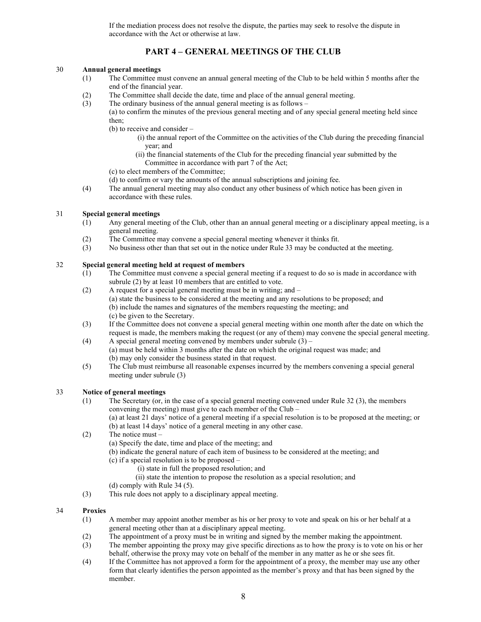If the mediation process does not resolve the dispute, the parties may seek to resolve the dispute in accordance with the Act or otherwise at law.

# PART 4 – GENERAL MEETINGS OF THE CLUB

## 30 Annual general meetings

- (1) The Committee must convene an annual general meeting of the Club to be held within 5 months after the end of the financial year.
- (2) The Committee shall decide the date, time and place of the annual general meeting.
- (3) The ordinary business of the annual general meeting is as follows
	- (a) to confirm the minutes of the previous general meeting and of any special general meeting held since then;
		- (b) to receive and consider
			- (i) the annual report of the Committee on the activities of the Club during the preceding financial year; and
			- (ii) the financial statements of the Club for the preceding financial year submitted by the Committee in accordance with part 7 of the Act;
		- (c) to elect members of the Committee;
		- (d) to confirm or vary the amounts of the annual subscriptions and joining fee.
- (4) The annual general meeting may also conduct any other business of which notice has been given in accordance with these rules.

#### 31 Special general meetings

- (1) Any general meeting of the Club, other than an annual general meeting or a disciplinary appeal meeting, is a general meeting.
- (2) The Committee may convene a special general meeting whenever it thinks fit.
- (3) No business other than that set out in the notice under Rule 33 may be conducted at the meeting.

#### 32 Special general meeting held at request of members

- (1) The Committee must convene a special general meeting if a request to do so is made in accordance with subrule (2) by at least 10 members that are entitled to vote.
- (2) A request for a special general meeting must be in writing; and
	- (a) state the business to be considered at the meeting and any resolutions to be proposed; and (b) include the names and signatures of the members requesting the meeting; and
		- (c) be given to the Secretary.
- (3) If the Committee does not convene a special general meeting within one month after the date on which the request is made, the members making the request (or any of them) may convene the special general meeting.
- (4) A special general meeting convened by members under subrule  $(3)$  (a) must be held within 3 months after the date on which the original request was made; and (b) may only consider the business stated in that request.
- (5) The Club must reimburse all reasonable expenses incurred by the members convening a special general meeting under subrule (3)

#### 33 Notice of general meetings

 (1) The Secretary (or, in the case of a special general meeting convened under Rule 32 (3), the members convening the meeting) must give to each member of the Club –

 (a) at least 21 days' notice of a general meeting if a special resolution is to be proposed at the meeting; or (b) at least 14 days' notice of a general meeting in any other case.

- (2) The notice must
	- (a) Specify the date, time and place of the meeting; and
	- (b) indicate the general nature of each item of business to be considered at the meeting; and
	- (c) if a special resolution is to be proposed
		- (i) state in full the proposed resolution; and
		- (ii) state the intention to propose the resolution as a special resolution; and
	- (d) comply with Rule 34 (5).
- (3) This rule does not apply to a disciplinary appeal meeting.

#### 34 Proxies

- (1) A member may appoint another member as his or her proxy to vote and speak on his or her behalf at a general meeting other than at a disciplinary appeal meeting.
- (2) The appointment of a proxy must be in writing and signed by the member making the appointment.
- (3) The member appointing the proxy may give specific directions as to how the proxy is to vote on his or her behalf, otherwise the proxy may vote on behalf of the member in any matter as he or she sees fit.
- (4) If the Committee has not approved a form for the appointment of a proxy, the member may use any other form that clearly identifies the person appointed as the member's proxy and that has been signed by the member.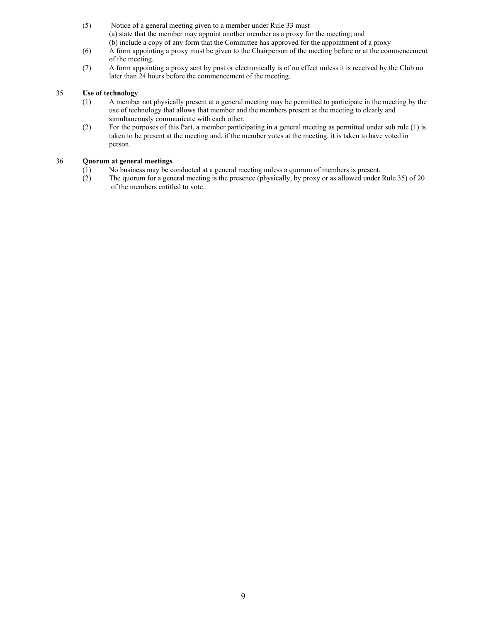- (5) Notice of a general meeting given to a member under Rule 33 must (a) state that the member may appoint another member as a proxy for the meeting; and (b) include a copy of any form that the Committee has approved for the appointment of a proxy
- (6) A form appointing a proxy must be given to the Chairperson of the meeting before or at the commencement of the meeting.
- (7) A form appointing a proxy sent by post or electronically is of no effect unless it is received by the Club no later than 24 hours before the commencement of the meeting.

# 35 Use of technology

- (1) A member not physically present at a general meeting may be permitted to participate in the meeting by the use of technology that allows that member and the members present at the meeting to clearly and
- simultaneously communicate with each other.<br>(2) For the purposes of this Part, a member partici-For the purposes of this Part, a member participating in a general meeting as permitted under sub rule (1) is taken to be present at the meeting and, if the member votes at the meeting, it is taken to have voted in person.

#### 36 Quorum at general meetings

- (1) No business may be conducted at a general meeting unless a quorum of members is present.
- (2) The quorum for a general meeting is the presence (physically, by proxy or as allowed under Rule 35) of 20 of the members entitled to vote.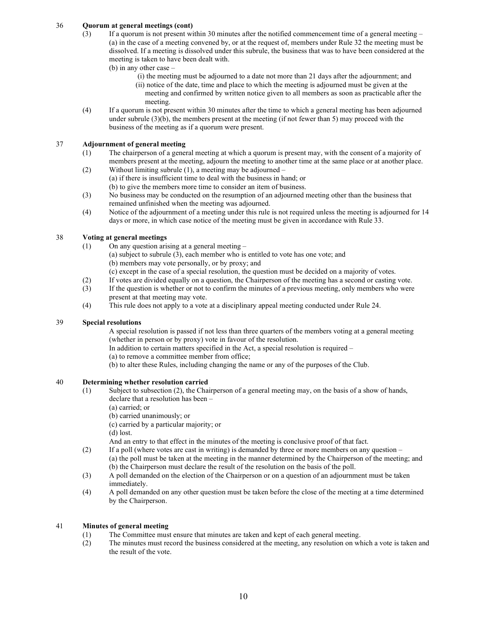# 36 Quorum at general meetings (cont)

- (3) If a quorum is not present within 30 minutes after the notified commencement time of a general meeting (a) in the case of a meeting convened by, or at the request of, members under Rule 32 the meeting must be dissolved. If a meeting is dissolved under this subrule, the business that was to have been considered at the meeting is taken to have been dealt with.
	- (b) in any other case
		- (i) the meeting must be adjourned to a date not more than 21 days after the adjournment; and
		- (ii) notice of the date, time and place to which the meeting is adjourned must be given at the meeting and confirmed by written notice given to all members as soon as practicable after the meeting.
- (4) If a quorum is not present within 30 minutes after the time to which a general meeting has been adjourned under subrule  $(3)(b)$ , the members present at the meeting (if not fewer than 5) may proceed with the business of the meeting as if a quorum were present.

#### 37 Adjournment of general meeting

- (1) The chairperson of a general meeting at which a quorum is present may, with the consent of a majority of members present at the meeting, adjourn the meeting to another time at the same place or at another place. (2) Without limiting subrule (1), a meeting may be adjourned –
	- (a) if there is insufficient time to deal with the business in hand; or (b) to give the members more time to consider an item of business.
- (3) No business may be conducted on the resumption of an adjourned meeting other than the business that remained unfinished when the meeting was adjourned.
- (4) Notice of the adjournment of a meeting under this rule is not required unless the meeting is adjourned for 14 days or more, in which case notice of the meeting must be given in accordance with Rule 33.

## 38 Voting at general meetings

- (1) On any question arising at a general meeting
	- (a) subject to subrule (3), each member who is entitled to vote has one vote; and
		- (b) members may vote personally, or by proxy; and
	- (c) except in the case of a special resolution, the question must be decided on a majority of votes.
- (2) If votes are divided equally on a question, the Chairperson of the meeting has a second or casting vote.
- (3) If the question is whether or not to confirm the minutes of a previous meeting, only members who were present at that meeting may vote.
- (4) This rule does not apply to a vote at a disciplinary appeal meeting conducted under Rule 24.

## 39 Special resolutions

 A special resolution is passed if not less than three quarters of the members voting at a general meeting (whether in person or by proxy) vote in favour of the resolution.

- In addition to certain matters specified in the Act, a special resolution is required –
- (a) to remove a committee member from office;
- (b) to alter these Rules, including changing the name or any of the purposes of the Club.

#### 40 Determining whether resolution carried

- (1) Subject to subsection (2), the Chairperson of a general meeting may, on the basis of a show of hands, declare that a resolution has been –
	- (a) carried; or
	- (b) carried unanimously; or
	- (c) carried by a particular majority; or

(d) lost.

- And an entry to that effect in the minutes of the meeting is conclusive proof of that fact.
- (2) If a poll (where votes are cast in writing) is demanded by three or more members on any question (a) the poll must be taken at the meeting in the manner determined by the Chairperson of the meeting; and (b) the Chairperson must declare the result of the resolution on the basis of the poll.
- (3) A poll demanded on the election of the Chairperson or on a question of an adjournment must be taken
- immediately.<br>(4) A poll deman (4) A poll demanded on any other question must be taken before the close of the meeting at a time determined by the Chairperson.

## 41 Minutes of general meeting

- (1) The Committee must ensure that minutes are taken and kept of each general meeting.
- (2) The minutes must record the business considered at the meeting, any resolution on which a vote is taken and the result of the vote.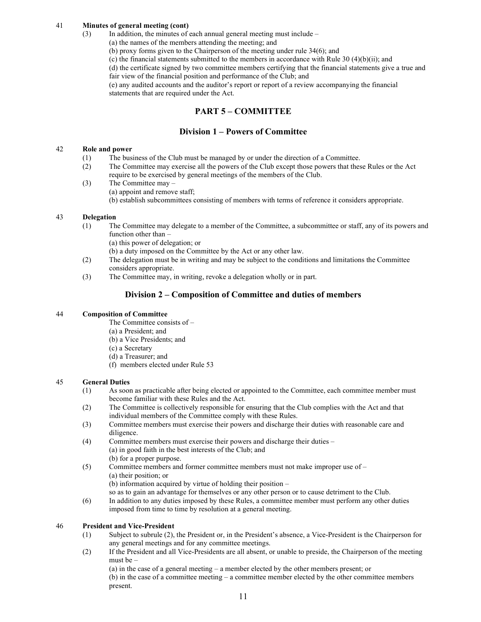## 41 Minutes of general meeting (cont)

- (3) In addition, the minutes of each annual general meeting must include
	- (a) the names of the members attending the meeting; and
		- (b) proxy forms given to the Chairperson of the meeting under rule 34(6); and
		- (c) the financial statements submitted to the members in accordance with Rule 30 (4)(b)(ii); and

 (d) the certificate signed by two committee members certifying that the financial statements give a true and fair view of the financial position and performance of the Club; and

 (e) any audited accounts and the auditor's report or report of a review accompanying the financial statements that are required under the Act.

# PART 5 – COMMITTEE

# Division 1 – Powers of Committee

#### 42 Role and power

- (1) The business of the Club must be managed by or under the direction of a Committee.
- (2) The Committee may exercise all the powers of the Club except those powers that these Rules or the Act require to be exercised by general meetings of the members of the Club.
- (3) The Committee may (a) appoint and remove staff; (b) establish subcommittees consisting of members with terms of reference it considers appropriate.

#### 43 Delegation

- (1) The Committee may delegate to a member of the Committee, a subcommittee or staff, any of its powers and function other than –
	- (a) this power of delegation; or
	- (b) a duty imposed on the Committee by the Act or any other law.
- (2) The delegation must be in writing and may be subject to the conditions and limitations the Committee considers appropriate.
- (3) The Committee may, in writing, revoke a delegation wholly or in part.

# Division 2 – Composition of Committee and duties of members

#### 44 Composition of Committee

- The Committee consists of –
- (a) a President; and
- (b) a Vice Presidents; and
- (c) a Secretary
- (d) a Treasurer; and
- (f) members elected under Rule 53

#### 45 General Duties

- (1) As soon as practicable after being elected or appointed to the Committee, each committee member must become familiar with these Rules and the Act.
- (2) The Committee is collectively responsible for ensuring that the Club complies with the Act and that individual members of the Committee comply with these Rules.
- (3) Committee members must exercise their powers and discharge their duties with reasonable care and diligence.
- (4) Committee members must exercise their powers and discharge their duties (a) in good faith in the best interests of the Club; and
	- (b) for a proper purpose.
- (5) Committee members and former committee members must not make improper use of (a) their position; or

(b) information acquired by virtue of holding their position –

- so as to gain an advantage for themselves or any other person or to cause detriment to the Club.
- (6) In addition to any duties imposed by these Rules, a committee member must perform any other duties imposed from time to time by resolution at a general meeting.

#### 46 President and Vice-President

- (1) Subject to subrule (2), the President or, in the President's absence, a Vice-President is the Chairperson for any general meetings and for any committee meetings.
- (2) If the President and all Vice-Presidents are all absent, or unable to preside, the Chairperson of the meeting must be –

 (a) in the case of a general meeting – a member elected by the other members present; or (b) in the case of a committee meeting – a committee member elected by the other committee members present.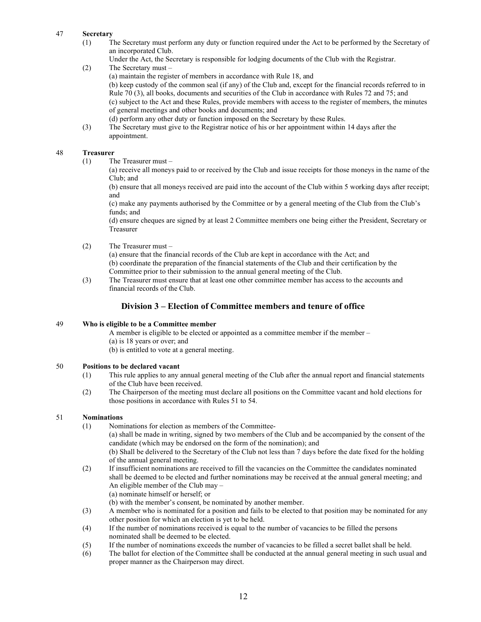## 47 Secretary

 (1) The Secretary must perform any duty or function required under the Act to be performed by the Secretary of an incorporated Club.

Under the Act, the Secretary is responsible for lodging documents of the Club with the Registrar.

(2) The Secretary must –

(a) maintain the register of members in accordance with Rule 18, and

 (b) keep custody of the common seal (if any) of the Club and, except for the financial records referred to in Rule 70 (3), all books, documents and securities of the Club in accordance with Rules 72 and 75; and (c) subject to the Act and these Rules, provide members with access to the register of members, the minutes of general meetings and other books and documents; and

- (d) perform any other duty or function imposed on the Secretary by these Rules.
- (3) The Secretary must give to the Registrar notice of his or her appointment within 14 days after the appointment.

#### 48 Treasurer

(1) The Treasurer must –

 (a) receive all moneys paid to or received by the Club and issue receipts for those moneys in the name of the Club; and

 (b) ensure that all moneys received are paid into the account of the Club within 5 working days after receipt; and

 (c) make any payments authorised by the Committee or by a general meeting of the Club from the Club's funds; and

 (d) ensure cheques are signed by at least 2 Committee members one being either the President, Secretary or Treasurer

(2) The Treasurer must –

 (a) ensure that the financial records of the Club are kept in accordance with the Act; and (b) coordinate the preparation of the financial statements of the Club and their certification by the Committee prior to their submission to the annual general meeting of the Club.

 (3) The Treasurer must ensure that at least one other committee member has access to the accounts and financial records of the Club.

# Division 3 – Election of Committee members and tenure of office

## 49 Who is eligible to be a Committee member

- A member is eligible to be elected or appointed as a committee member if the member –
- (a) is 18 years or over; and
- (b) is entitled to vote at a general meeting.

## 50 Positions to be declared vacant

- (1) This rule applies to any annual general meeting of the Club after the annual report and financial statements of the Club have been received.
- (2) The Chairperson of the meeting must declare all positions on the Committee vacant and hold elections for those positions in accordance with Rules 51 to 54.

## 51 Nominations

- (1) Nominations for election as members of the Committee-
	- (a) shall be made in writing, signed by two members of the Club and be accompanied by the consent of the candidate (which may be endorsed on the form of the nomination); and

 (b) Shall be delivered to the Secretary of the Club not less than 7 days before the date fixed for the holding of the annual general meeting.

- (2) If insufficient nominations are received to fill the vacancies on the Committee the candidates nominated shall be deemed to be elected and further nominations may be received at the annual general meeting; and An eligible member of the Club may –
	- (a) nominate himself or herself; or
	- (b) with the member's consent, be nominated by another member.
- (3) A member who is nominated for a position and fails to be elected to that position may be nominated for any other position for which an election is yet to be held.
- (4) If the number of nominations received is equal to the number of vacancies to be filled the persons nominated shall be deemed to be elected.
- (5) If the number of nominations exceeds the number of vacancies to be filled a secret ballet shall be held.
- (6) The ballot for election of the Committee shall be conducted at the annual general meeting in such usual and proper manner as the Chairperson may direct.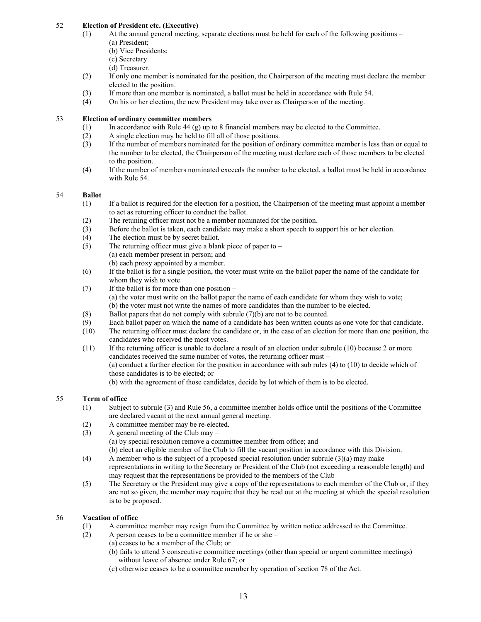# 52 Election of President etc. (Executive)

- (1) At the annual general meeting, separate elections must be held for each of the following positions (a) President;
	- (b) Vice Presidents;
	- (c) Secretary
	- (d) Treasurer.
- (2) If only one member is nominated for the position, the Chairperson of the meeting must declare the member elected to the position.
- (3) If more than one member is nominated, a ballot must be held in accordance with Rule 54.
- (4) On his or her election, the new President may take over as Chairperson of the meeting.

# 53 Election of ordinary committee members

- (1) In accordance with Rule 44 (g) up to 8 financial members may be elected to the Committee.
- (2) A single election may be held to fill all of those positions.
- (3) If the number of members nominated for the position of ordinary committee member is less than or equal to the number to be elected, the Chairperson of the meeting must declare each of those members to be elected to the position.
- (4) If the number of members nominated exceeds the number to be elected, a ballot must be held in accordance with Rule 54.

## 54 Ballot

- (1) If a ballot is required for the election for a position, the Chairperson of the meeting must appoint a member to act as returning officer to conduct the ballot.
- (2) The retuning officer must not be a member nominated for the position.
- (3) Before the ballot is taken, each candidate may make a short speech to support his or her election.
- (4) The election must be by secret ballot.
- (5) The returning officer must give a blank piece of paper to (a) each member present in person; and
	- (b) each proxy appointed by a member.
- (6) If the ballot is for a single position, the voter must write on the ballot paper the name of the candidate for whom they wish to vote.
- (7) If the ballot is for more than one position (a) the voter must write on the ballot paper the name of each candidate for whom they wish to vote; (b) the voter must not write the names of more candidates than the number to be elected.
- (8) Ballot papers that do not comply with subrule  $(7)(b)$  are not to be counted.
- (9) Each ballot paper on which the name of a candidate has been written counts as one vote for that candidate.
- (10) The returning officer must declare the candidate or, in the case of an election for more than one position, the candidates who received the most votes.
- (11) If the returning officer is unable to declare a result of an election under subrule (10) because 2 or more candidates received the same number of votes, the returning officer must – (a) conduct a further election for the position in accordance with sub rules (4) to (10) to decide which of those candidates is to be elected; or
	- (b) with the agreement of those candidates, decide by lot which of them is to be elected.

# 55 Term of office

- (1) Subject to subrule (3) and Rule 56, a committee member holds office until the positions of the Committee are declared vacant at the next annual general meeting.
- (2) A committee member may be re-elected.
- (3) A general meeting of the Club may
	- (a) by special resolution remove a committee member from office; and
	- (b) elect an eligible member of the Club to fill the vacant position in accordance with this Division.
- (4) A member who is the subject of a proposed special resolution under subrule (3)(a) may make representations in writing to the Secretary or President of the Club (not exceeding a reasonable length) and may request that the representations be provided to the members of the Club
- (5) The Secretary or the President may give a copy of the representations to each member of the Club or, if they are not so given, the member may require that they be read out at the meeting at which the special resolution is to be proposed.

# 56 Vacation of office

- (1) A committee member may resign from the Committee by written notice addressed to the Committee.
- (2) A person ceases to be a committee member if he or she
	- (a) ceases to be a member of the Club; or
		- (b) fails to attend 3 consecutive committee meetings (other than special or urgent committee meetings) without leave of absence under Rule 67; or
		- (c) otherwise ceases to be a committee member by operation of section 78 of the Act.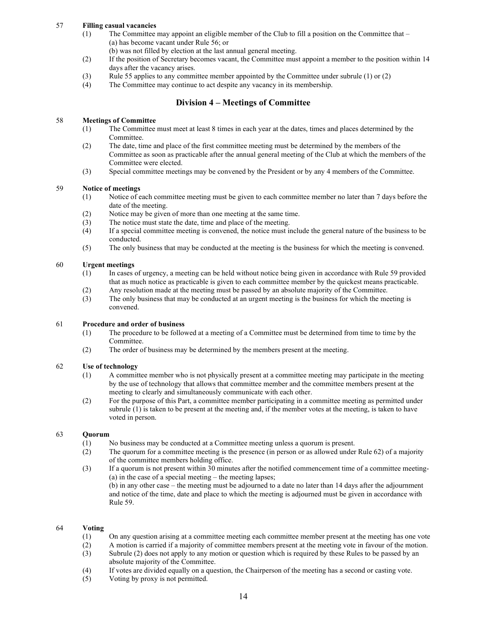# 57 Filling casual vacancies

 (1) The Committee may appoint an eligible member of the Club to fill a position on the Committee that – (a) has become vacant under Rule 56; or

(b) was not filled by election at the last annual general meeting.

- (2) If the position of Secretary becomes vacant, the Committee must appoint a member to the position within 14 days after the vacancy arises.
- (3) Rule 55 applies to any committee member appointed by the Committee under subrule (1) or (2)
- (4) The Committee may continue to act despite any vacancy in its membership.

# Division 4 – Meetings of Committee

# 58 Meetings of Committee

- (1) The Committee must meet at least 8 times in each year at the dates, times and places determined by the Committee.
- (2) The date, time and place of the first committee meeting must be determined by the members of the Committee as soon as practicable after the annual general meeting of the Club at which the members of the Committee were elected.
- (3) Special committee meetings may be convened by the President or by any 4 members of the Committee.

#### 59 Notice of meetings

- (1) Notice of each committee meeting must be given to each committee member no later than 7 days before the date of the meeting.
- (2) Notice may be given of more than one meeting at the same time.
- (3) The notice must state the date, time and place of the meeting.
- (4) If a special committee meeting is convened, the notice must include the general nature of the business to be conducted.
- (5) The only business that may be conducted at the meeting is the business for which the meeting is convened.

#### 60 Urgent meetings

- (1) In cases of urgency, a meeting can be held without notice being given in accordance with Rule 59 provided that as much notice as practicable is given to each committee member by the quickest means practicable.
- (2) Any resolution made at the meeting must be passed by an absolute majority of the Committee.
- (3) The only business that may be conducted at an urgent meeting is the business for which the meeting is convened.

## 61 Procedure and order of business

- (1) The procedure to be followed at a meeting of a Committee must be determined from time to time by the Committee.
- (2) The order of business may be determined by the members present at the meeting.

## 62 Use of technology

- (1) A committee member who is not physically present at a committee meeting may participate in the meeting by the use of technology that allows that committee member and the committee members present at the meeting to clearly and simultaneously communicate with each other.
- (2) For the purpose of this Part, a committee member participating in a committee meeting as permitted under subrule (1) is taken to be present at the meeting and, if the member votes at the meeting, is taken to have voted in person.

#### 63 Quorum

- (1) No business may be conducted at a Committee meeting unless a quorum is present.
- (2) The quorum for a committee meeting is the presence (in person or as allowed under Rule 62) of a majority of the committee members holding office.
- (3) If a quorum is not present within 30 minutes after the notified commencement time of a committee meeting- (a) in the case of a special meeting – the meeting lapses;

 (b) in any other case – the meeting must be adjourned to a date no later than 14 days after the adjournment and notice of the time, date and place to which the meeting is adjourned must be given in accordance with Rule 59.

## 64 Voting

- (1) On any question arising at a committee meeting each committee member present at the meeting has one vote
- (2) A motion is carried if a majority of committee members present at the meeting vote in favour of the motion.
- (3) Subrule (2) does not apply to any motion or question which is required by these Rules to be passed by an absolute majority of the Committee.
- (4) If votes are divided equally on a question, the Chairperson of the meeting has a second or casting vote.
- (5) Voting by proxy is not permitted.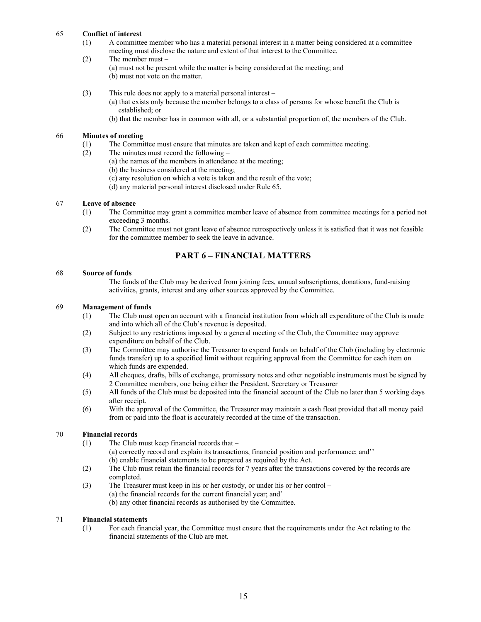#### 65 Conflict of interest

- (1) A committee member who has a material personal interest in a matter being considered at a committee meeting must disclose the nature and extent of that interest to the Committee.
- (2) The member must
	- (a) must not be present while the matter is being considered at the meeting; and (b) must not vote on the matter.
	- (3) This rule does not apply to a material personal interest
		- (a) that exists only because the member belongs to a class of persons for whose benefit the Club is established; or
		- (b) that the member has in common with all, or a substantial proportion of, the members of the Club.

#### 66 Minutes of meeting

- (1) The Committee must ensure that minutes are taken and kept of each committee meeting.<br>
(2) The minutes must record the following  $-$
- The minutes must record the following  $-$ 
	- (a) the names of the members in attendance at the meeting;
	- (b) the business considered at the meeting;
	- (c) any resolution on which a vote is taken and the result of the vote;
	- (d) any material personal interest disclosed under Rule 65.

#### 67 Leave of absence

- (1) The Committee may grant a committee member leave of absence from committee meetings for a period not exceeding 3 months.<br>(2) The Committee must
- The Committee must not grant leave of absence retrospectively unless it is satisfied that it was not feasible for the committee member to seek the leave in advance.

# PART 6 – FINANCIAL MATTERS

#### 68 Source of funds

 The funds of the Club may be derived from joining fees, annual subscriptions, donations, fund-raising activities, grants, interest and any other sources approved by the Committee.

#### 69 Management of funds

- (1) The Club must open an account with a financial institution from which all expenditure of the Club is made and into which all of the Club's revenue is deposited.
- (2) Subject to any restrictions imposed by a general meeting of the Club, the Committee may approve expenditure on behalf of the Club.
- (3) The Committee may authorise the Treasurer to expend funds on behalf of the Club (including by electronic funds transfer) up to a specified limit without requiring approval from the Committee for each item on which funds are expended.
- (4) All cheques, drafts, bills of exchange, promissory notes and other negotiable instruments must be signed by 2 Committee members, one being either the President, Secretary or Treasurer
- (5) All funds of the Club must be deposited into the financial account of the Club no later than 5 working days after receipt.
- (6) With the approval of the Committee, the Treasurer may maintain a cash float provided that all money paid from or paid into the float is accurately recorded at the time of the transaction.

## 70 Financial records

- (1) The Club must keep financial records that
	- (a) correctly record and explain its transactions, financial position and performance; and''
	- (b) enable financial statements to be prepared as required by the Act.
- (2) The Club must retain the financial records for 7 years after the transactions covered by the records are completed.
- (3) The Treasurer must keep in his or her custody, or under his or her control
	- (a) the financial records for the current financial year; and'
	- (b) any other financial records as authorised by the Committee.

#### 71 Financial statements

 (1) For each financial year, the Committee must ensure that the requirements under the Act relating to the financial statements of the Club are met.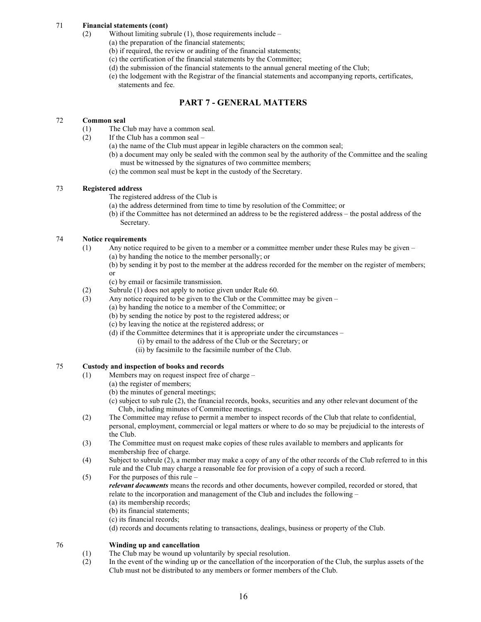# 71 Financial statements (cont)

- (2) Without limiting subrule (1), those requirements include
	- (a) the preparation of the financial statements;
		- (b) if required, the review or auditing of the financial statements;
		- (c) the certification of the financial statements by the Committee;
		- (d) the submission of the financial statements to the annual general meeting of the Club;
		- (e) the lodgement with the Registrar of the financial statements and accompanying reports, certificates, statements and fee.

# PART 7 - GENERAL MATTERS

# 72 Common seal

- (1) The Club may have a common seal.
- (2) If the Club has a common seal
	- (a) the name of the Club must appear in legible characters on the common seal;
	- (b) a document may only be sealed with the common seal by the authority of the Committee and the sealing must be witnessed by the signatures of two committee members;
	- (c) the common seal must be kept in the custody of the Secretary.

# 73 Registered address

The registered address of the Club is

- (a) the address determined from time to time by resolution of the Committee; or
- (b) if the Committee has not determined an address to be the registered address the postal address of the Secretary.

# 74 Notice requirements

- (1) Any notice required to be given to a member or a committee member under these Rules may be given (a) by handing the notice to the member personally; or
- (b) by sending it by post to the member at the address recorded for the member on the register of members; or
	- (c) by email or facsimile transmission.
	- (2) Subrule (1) does not apply to notice given under Rule 60.
	- (3) Any notice required to be given to the Club or the Committee may be given
		- (a) by handing the notice to a member of the Committee; or
			- (b) by sending the notice by post to the registered address; or
		- (c) by leaving the notice at the registered address; or
		- (d) if the Committee determines that it is appropriate under the circumstances
			- (i) by email to the address of the Club or the Secretary; or
			- (ii) by facsimile to the facsimile number of the Club.

## 75 Custody and inspection of books and records

- (1) Members may on request inspect free of charge
	- (a) the register of members;
	- (b) the minutes of general meetings;
	- (c) subject to sub rule (2), the financial records, books, securities and any other relevant document of the Club, including minutes of Committee meetings.
- (2) The Committee may refuse to permit a member to inspect records of the Club that relate to confidential, personal, employment, commercial or legal matters or where to do so may be prejudicial to the interests of the Club.
- (3) The Committee must on request make copies of these rules available to members and applicants for membership free of charge.
- (4) Subject to subrule (2), a member may make a copy of any of the other records of the Club referred to in this rule and the Club may charge a reasonable fee for provision of a copy of such a record.
- (5) For the purposes of this rule  $-$

relevant documents means the records and other documents, however compiled, recorded or stored, that relate to the incorporation and management of the Club and includes the following –

- (a) its membership records; (b) its financial statements;
- (c) its financial records;
- (d) records and documents relating to transactions, dealings, business or property of the Club.

## 76 Winding up and cancellation

- (1) The Club may be wound up voluntarily by special resolution.
- (2) In the event of the winding up or the cancellation of the incorporation of the Club, the surplus assets of the Club must not be distributed to any members or former members of the Club.